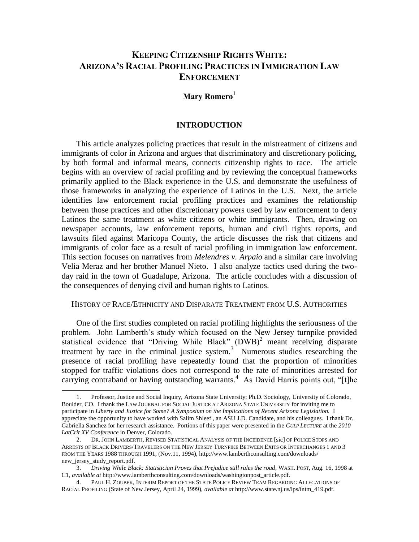# **KEEPING CITIZENSHIP RIGHTS WHITE: ARIZONA'S RACIAL PROFILING PRACTICES IN IMMIGRATION LAW ENFORCEMENT**

### **Mary Romero**<sup>1</sup>

#### **INTRODUCTION**

This article analyzes policing practices that result in the mistreatment of citizens and immigrants of color in Arizona and argues that discriminatory and discretionary policing, by both formal and informal means, connects citizenship rights to race. The article begins with an overview of racial profiling and by reviewing the conceptual frameworks primarily applied to the Black experience in the U.S. and demonstrate the usefulness of those frameworks in analyzing the experience of Latinos in the U.S. Next, the article identifies law enforcement racial profiling practices and examines the relationship between those practices and other discretionary powers used by law enforcement to deny Latinos the same treatment as white citizens or white immigrants. Then, drawing on newspaper accounts, law enforcement reports, human and civil rights reports, and lawsuits filed against Maricopa County, the article discusses the risk that citizens and immigrants of color face as a result of racial profiling in immigration law enforcement. This section focuses on narratives from *Melendres v. Arpaio* and a similar care involving Velia Meraz and her brother Manuel Nieto. I also analyze tactics used during the twoday raid in the town of Guadalupe, Arizona. The article concludes with a discussion of the consequences of denying civil and human rights to Latinos.

#### HISTORY OF RACE/ETHNICITY AND DISPARATE TREATMENT FROM U.S. AUTHORITIES

One of the first studies completed on racial profiling highlights the seriousness of the problem. John Lamberth's study which focused on the New Jersey turnpike provided statistical evidence that "Driving While Black"  $(DWB)^2$  meant receiving disparate treatment by race in the criminal justice system. $3$  Numerous studies researching the presence of racial profiling have repeatedly found that the proportion of minorities stopped for traffic violations does not correspond to the rate of minorities arrested for carrying contraband or having outstanding warrants.<sup>4</sup> As David Harris points out, "[t]he

<sup>1.</sup> Professor, Justice and Social Inquiry, Arizona State University; Ph.D. Sociology, University of Colorado, Boulder, CO. I thank the LAW JOURNAL FOR SOCIAL JUSTICE AT ARIZONA STATE UNIVERSITY for inviting me to participate in *Liberty and Justice for Some? A Symposium on the Implications of Recent Arizona Legislation.* I appreciate the opportunity to have worked with Salim Shleef , an ASU J.D. Candidate, and his colleagues. I thank Dr. Gabriella Sanchez for her research assistance. Portions of this paper were presented in the *CULP LECTURE* at the *2010 LatCrit XV Conference* in Denver, Colorado.

<sup>2.</sup> DR. JOHN LAMBERTH, REVISED STATISTICAL ANALYSIS OF THE INCEIDENCE [sic] OF POLICE STOPS AND ARRESTS OF BLACK DRIVERS/TRAVELERS ON THE NEW JERSEY TURNPIKE BETWEEN EXITS OR INTERCHANGES 1 AND 3 FROM THE YEARS 1988 THROUGH 1991, (Nov.11, 1994), http://www.lamberthconsulting.com/downloads/ new jersey study report.pdf.

<sup>3.</sup> *Driving While Black: Statistician Proves that Prejudice still rules the road*, WASH. POST, Aug. 16, 1998 at C1, *available at* [http://www.lamberthconsulting.com/downloads/washingtonpost\\_article.pdf.](http://www.lamberthconsulting.com/downloads/washingtonpost_article.pdf)

<sup>4.</sup> PAUL H. ZOUBEK, INTERIM REPORT OF THE STATE POLICE REVIEW TEAM REGARDING ALLEGATIONS OF RACIAL PROFILING (State of New Jersey, April 24, 1999), *available at* http://www.state.nj.us/lps/intm\_419.pdf.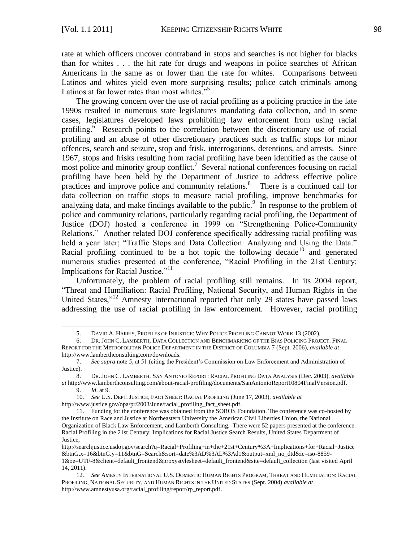rate at which officers uncover contraband in stops and searches is not higher for blacks than for whites . . . the hit rate for drugs and weapons in police searches of African Americans in the same as or lower than the rate for whites. Comparisons between Latinos and whites yield even more surprising results; police catch criminals among Latinos at far lower rates than most whites. $5<sup>5</sup>$ 

The growing concern over the use of racial profiling as a policing practice in the late 1990s resulted in numerous state legislatures mandating data collection, and in some cases, legislatures developed laws prohibiting law enforcement from using racial profiling.<sup> $\bar{6}$ </sup> Research points to the correlation between the discretionary use of racial profiling and an abuse of other discretionary practices such as traffic stops for minor offences, search and seizure, stop and frisk, interrogations, detentions, and arrests. Since 1967, stops and frisks resulting from racial profiling have been identified as the cause of most police and minority group conflict.<sup>7</sup> Several national conferences focusing on racial profiling have been held by the Department of Justice to address effective police practices and improve police and community relations.<sup>8</sup> There is a continued call for data collection on traffic stops to measure racial profiling, improve benchmarks for analyzing data, and make findings available to the public.  $9\degree$  In response to the problem of police and community relations, particularly regarding racial profiling, the Department of Justice (DOJ) hosted a conference in 1999 on "Strengthening Police-Community Relations." Another related DOJ conference specifically addressing racial profiling was held a year later; "Traffic Stops and Data Collection: Analyzing and Using the Data." Racial profiling continued to be a hot topic the following decade<sup>10</sup> and generated numerous studies presented at the conference, "Racial Profiling in the 21st Century: Implications for Racial Justice."<sup>11</sup>

Unfortunately, the problem of racial profiling still remains. In its 2004 report, ―Threat and Humiliation: Racial Profiling, National Security, and Human Rights in the United States,"<sup>12</sup> Amnesty International reported that only 29 states have passed laws addressing the use of racial profiling in law enforcement. However, racial profiling

<sup>5.</sup> DAVID A. HARRIS, PROFILES OF INJUSTICE: WHY POLICE PROFILING CANNOT WORK 13 (2002).

<sup>6.</sup> DR. JOHN C. LAMBERTH, DATA COLLECTION AND BENCHMARKING OF THE BIAS POLICING PROJECT: FINAL REPORT FOR THE METROPOLITAN POLICE DEPARTMENT IN THE DISTRICT OF COLUMBIA 7 (Sept. 2006), *available at* http://www.lamberthconsulting.com/downloads.

<sup>7.</sup> *See supra* note 5, at 51 (citing the President's Commission on Law Enforcement and Administration of Justice).

<sup>8.</sup> DR. JOHN C. LAMBERTH, SAN ANTONIO REPORT: RACIAL PROFILING DATA ANALYSIS (Dec. 2003), *available at* [http://www.lamberthconsulting.com/about-racial-profiling/documents/SanAntonioReport10804FinalVersion.pdf.](http://www.lamberthconsulting.com/about-racial-profiling/documents/SanAntonioReport10804FinalVersion.pdf)

<sup>9.</sup> *Id*. at 9.

<sup>10.</sup> *See* U.S. DEPT. JUSTICE, FACT SHEET: RACIAL PROFILING (June 17, 2003), *available at*  [http://www.justice.gov/opa/pr/2003/June/racial\\_profiling\\_fact\\_sheet.pdf.](http://www.justice.gov/opa/pr/2003/June/racial_profiling_fact_sheet.pdf)

<sup>11.</sup> Funding for the conference was obtained from the SOROS Foundation. The conference was co-hosted by the Institute on Race and Justice at Northeastern University the American Civil Liberties Union, the National Organization of Black Law Enforcement, and Lamberth Consulting. There were 52 papers presented at the conference. Racial Profiling in the 21st Century: Implications for Racial Justice Search Results, United States Department of Justice,

[http://searchjustice.usdoj.gov/search?q=Racial+Profiling+in+the+21st+Century%3A+Implications+for+Racial+Justice](http://searchjustice.usdoj.gov/search?q=Racial+Profiling+in+the+21st+Century%3A+Implications+for+Racial+Justice&btnG.x=16&btnG.y=11&btnG=Search&sort=date%3AD%3AL%3Ad1&output=xml_no_dtd&ie=iso-8859-1&oe=UTF-8&client=default_frontend&proxystylesheet=default_frontend&site=default_collection) [&btnG.x=16&btnG.y=11&btnG=Search&sort=date%3AD%3AL%3Ad1&output=xml\\_no\\_dtd&ie=iso-8859-](http://searchjustice.usdoj.gov/search?q=Racial+Profiling+in+the+21st+Century%3A+Implications+for+Racial+Justice&btnG.x=16&btnG.y=11&btnG=Search&sort=date%3AD%3AL%3Ad1&output=xml_no_dtd&ie=iso-8859-1&oe=UTF-8&client=default_frontend&proxystylesheet=default_frontend&site=default_collection) [1&oe=UTF-8&client=default\\_frontend&proxystylesheet=default\\_frontend&site=default\\_collection](http://searchjustice.usdoj.gov/search?q=Racial+Profiling+in+the+21st+Century%3A+Implications+for+Racial+Justice&btnG.x=16&btnG.y=11&btnG=Search&sort=date%3AD%3AL%3Ad1&output=xml_no_dtd&ie=iso-8859-1&oe=UTF-8&client=default_frontend&proxystylesheet=default_frontend&site=default_collection) (last visited April 14, 2011).

<sup>12.</sup> *See* AMESTY INTERNATIONAL U.S. DOMESTIC HUMAN RIGHTS PROGRAM, THREAT AND HUMILIATION: RACIAL PROFILING, NATIONAL SECURITY, AND HUMAN RIGHTS IN THE UNITED STATES (Sept. 2004) *available at*  [http://www.amnestyusa.org/racial\\_profiling/report/rp\\_report.pdf.](http://www.amnestyusa.org/racial_profiling/report/rp_report.pdf)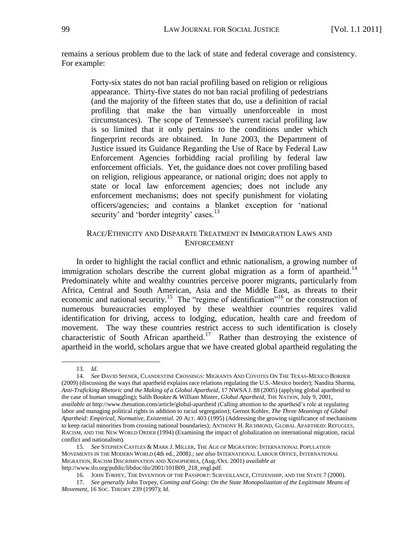remains a serious problem due to the lack of state and federal coverage and consistency. For example:

> Forty-six states do not ban racial profiling based on religion or religious appearance. Thirty-five states do not ban racial profiling of pedestrians (and the majority of the fifteen states that do, use a definition of racial profiling that make the ban virtually unenforceable in most circumstances). The scope of Tennessee's current racial profiling law is so limited that it only pertains to the conditions under which fingerprint records are obtained. In June 2003, the Department of Justice issued its Guidance Regarding the Use of Race by Federal Law Enforcement Agencies forbidding racial profiling by federal law enforcement officials. Yet, the guidance does not cover profiling based on religion, religious appearance, or national origin; does not apply to state or local law enforcement agencies; does not include any enforcement mechanisms; does not specify punishment for violating officers/agencies; and contains a blanket exception for 'national security' and 'border integrity' cases.<sup>13</sup>

## RACE/ETHNICITY AND DISPARATE TREATMENT IN IMMIGRATION LAWS AND **ENFORCEMENT**

In order to highlight the racial conflict and ethnic nationalism, a growing number of immigration scholars describe the current global migration as a form of apartheid.<sup>14</sup> Predominately white and wealthy countries perceive poorer migrants, particularly from Africa, Central and South American, Asia and the Middle East, as threats to their economic and national security.<sup>15</sup> The "regime of identification"<sup>16</sup> or the construction of numerous bureaucracies employed by these wealthier countries requires valid identification for driving, access to lodging, education, health care and freedom of movement. The way these countries restrict access to such identification is closely characteristic of South African apartheid.<sup>17</sup> Rather than destroying the existence of apartheid in the world, scholars argue that we have created global apartheid regulating the

<sup>13.</sup> *Id.*

<sup>14.</sup> *See* DAVID SPENER, CLANDESTINE CROSSINGS: MIGRANTS AND COYOTES ON THE TEXAS-MEXICO BORDER (2009) (discussing the ways that apartheid explains race relations regulating the U.S.-Mexico border); Nandita Sharma, *Anti-Traficking Rhetoric and the Making of a Global Apartheid*, 17 NWSA J. 88 (2005) (applying global apartheid to the case of human smuggling); Salih Booker & William Minter, *Global Apartheid,* THE NATION, July 9, 2001, *available at* http://www.thenation.com/article/global-apartheid (Calling attention to the apartheid's role at regulating labor and managing political rights in addition to racial segregation); Gernot Kohler, *The Three Meanings of Global Apartheid: Empirical, Normative, Existential.* 20 ALT. 403 (1995) (Addressing the growing significance of mechanisms to keep racial minorities from crossing national boundaries); ANTHONY H. RICHMOND, GLOBAL APARTHEID: REFUGEES, RACISM, AND THE NEW WORLD ORDER (1994) (Examining the impact of globalization on international migration, racial conflict and nationalism).

<sup>15.</sup> *See* STEPHEN CASTLES & MARK J. MILLER, THE AGE OF MIGRATION: INTERNATIONAL POPULATION MOVEMENTS IN THE MODERN WORLD (4th ed., 2008*).; see also* INTERNATIONAL LABOUR OFFICE, INTERNATIONAL MIGRATION, RACISM DISCRIMINATION AND XENOPHOBIA, (Aug./Oct. 2001) *available at* [http://www.ilo.org/public/libdoc/ilo/2001/101B09\\_218\\_engl.pdf.](http://www.ilo.org/public/libdoc/ilo/2001/101B09_218_engl.pdf)

<sup>16.</sup> JOHN TORPEY, THE INVENTION OF THE PASSPORT: SURVEILLANCE, CITIZENSHIP, AND THE STATE 7 (2000).

<sup>17.</sup> *See generally* John Torpey, *Coming and Going: On the State Monopolization of the Legitimate Means of Movement*, 16 SOC. THEORY 239 (1997); Id.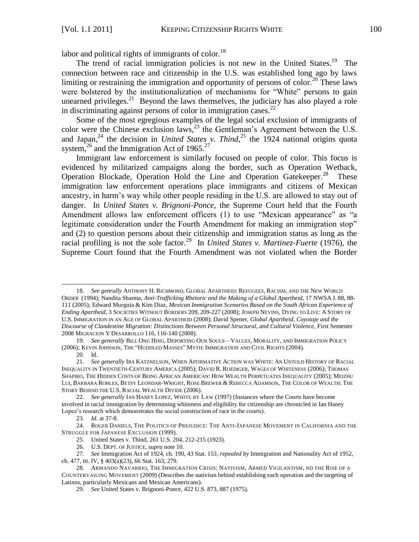labor and political rights of immigrants of color.<sup>18</sup>

The trend of racial immigration policies is not new in the United States.<sup>19</sup> The connection between race and citizenship in the U.S. was established long ago by laws limiting or restraining the immigration and opportunity of persons of color.<sup>20</sup> These laws were bolstered by the institutionalization of mechanisms for "White" persons to gain unearned privileges.<sup>21</sup> Beyond the laws themselves, the judiciary has also played a role in discriminating against persons of color in immigration cases.<sup>22</sup>

Some of the most egregious examples of the legal social exclusion of immigrants of color were the Chinese exclusion laws,<sup>23</sup> the Gentleman's Agreement between the U.S. and Japan,<sup>24</sup> the decision in *United States v. Thind*,<sup>25</sup> the 1924 national origins quota system,<sup>26</sup> and the Immigration Act of 1965.<sup>27</sup>

Immigrant law enforcement is similarly focused on people of color. This focus is evidenced by militarized campaigns along the border, such as Operation Wetback, Operation Blockade, Operation Hold the Line and Operation Gatekeeper.<sup>28</sup> These immigration law enforcement operations place immigrants and citizens of Mexican ancestry, in harm's way while other people residing in the U.S. are allowed to stay out of danger. In *United States v. Brignoni-Ponce*, the Supreme Court held that the Fourth Amendment allows law enforcement officers (1) to use "Mexican appearance" as "a legitimate consideration under the Fourth Amendment for making an immigration stop" and (2) to question persons about their citizenship and immigration status as long as the racial profiling is not the sole factor.<sup>29</sup> In *United States v. Martinez-Fuerte* (1976), the Supreme Court found that the Fourth Amendment was not violated when the Border

<sup>18.</sup> *See genrally* ANTHONY H. RICHMOND, GLOBAL APARTHEID: REFUGEES, RACISM, AND THE NEW WORLD ORDER (1994); Nandita Sharma, *Anti-Trafficking Rhetoric and the Making of a Global Apartheid,* 17 NWSA J. 88, 88- 111 (2005); Edward Murguia & Kim Diaz, *Mexican Immigration Scenarios Based on the South African Experience of Ending Apartheid,* 3 SOCIETIES WITHOUT BORDERS 209, 209-227 (2008); JOSEPH NEVINS, DYING TO LIVE: A STORY OF U.S. IMMIGRATION IN AN AGE OF GLOBAL APARTHEID (2008); David Spener, *Global Apartheid, Coyotaje and the Discourse of Clandestine Migration: Distinctions Between Personal Structural, and Cultural Violence*, First Semester 2008 MIGRACION Y DESARROLLO 116, 116-140 (2008).

<sup>19.</sup> *See generally* BILL ONG HING, DEPORTING OUR SOULS—VALUES, MORALITY, AND IMMIGRATION POLICY (2006); KEVIN JOHNSON, THE "HUDDLED MASSES" MYTH: IMMIGRATION AND CIVIL RIGHTS (2004).

<sup>20.</sup> Id.

<sup>21.</sup> *See generally* IRA KATZNELSON, WHEN AFFIRMATIVE ACTION WAS WHITE: AN UNTOLD HISTORY OF RACIAL INEQUALITY IN TWENTIETH-CENTURY AMERICA (2005); DAVID R. ROEDIGER, WAGES OF WHITENESS (2006); THOMAS SHAPIRO, THE HIDDEN COSTS OF BEING AFRICAN AMERICAN: HOW WEALTH PERPETUATES INEQUALITY (2005); MEIZHU LUI, BARBARA ROBLES, BETSY LEONDAR-WRIGHT, ROSE BREWER & REBECCA ADAMSON, THE COLOR OF WEALTH: THE STORY BEHIND THE U.S. RACIAL WEALTH DIVIDE (2006).

<sup>22.</sup> *See generally* IAN HANEY LOPEZ, WHITE BY LAW (1997) (Instances where the Courts have become involved in racial immigration by determining whiteness and eligibility for citizenship are chronicled in Ian Haney Lopez's research which demonstrates the social construction of race in the courts).

<sup>23.</sup> *Id.* at 37-8.

<sup>24.</sup> ROGER DANIELS, THE POLITICS OF PREJUDICE: THE ANTI-JAPANESE MOVEMENT IN CALIFORNIA AND THE STRUGGLE FOR JAPANESE EXCLUSION (1999).

<sup>25.</sup> United States v. Thind, 261 U.S. 204, 212-215 (1923).

<sup>26.</sup> U.S. DEPT. OF JUSTICE, *supra* note 10.

<sup>27.</sup> *See* Immigration Act of 1924, ch. 190, 43 Stat. 153*, repealed by* Immigration and Nationality Act of 1952, ch. 477, tit. IV, § 403(a)(23), 66 Stat. 163, 279.

<sup>28.</sup> ARMANDO NAVARRIO, THE IMMIGRATION CRISIS: NATIVISM, ARMED VIGILANTISM, ND THE RISE OF A COUNTERVAILING MOVEMENT (2009) (Describes the nativism behind establishing each operation and the targeting of Latinos, particularly Mexicans and Mexican Americans).

<sup>29.</sup> *See* United States v. Brignoni-Ponce, 422 U.S. 873, 887 (1975).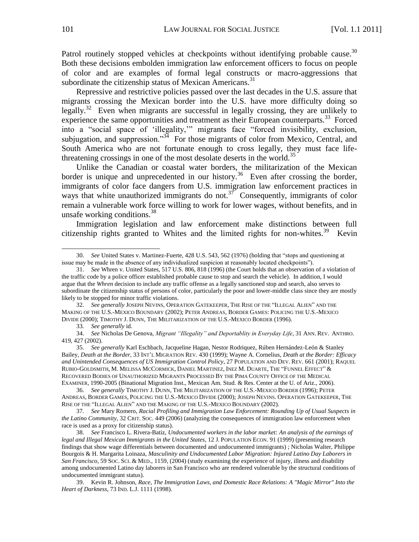Patrol routinely stopped vehicles at checkpoints without identifying probable cause.<sup>30</sup> Both these decisions embolden immigration law enforcement officers to focus on people of color and are examples of formal legal constructs or macro-aggressions that subordinate the citizenship status of Mexican Americans.<sup>31</sup>

Repressive and restrictive policies passed over the last decades in the U.S. assure that migrants crossing the Mexican border into the U.S. have more difficulty doing so legally.<sup>32</sup> Even when migrants are successful in legally crossing, they are unlikely to experience the same opportunities and treatment as their European counterparts.<sup>33</sup> Forced into a "social space of 'illegality," migrants face "forced invisibility, exclusion, subjugation, and suppression."<sup>34</sup> For those migrants of color from Mexico, Central, and South America who are not fortunate enough to cross legally, they must face lifethreatening crossings in one of the most desolate deserts in the world.<sup>35</sup>

Unlike the Canadian or coastal water borders, the militarization of the Mexican border is unique and unprecedented in our history.<sup>36</sup> Even after crossing the border, immigrants of color face dangers from U.S. immigration law enforcement practices in ways that white unauthorized immigrants do not.<sup>37</sup> Consequently, immigrants of color remain a vulnerable work force willing to work for lower wages, without benefits, and in unsafe working conditions. $^{38}$ 

Immigration legislation and law enforcement make distinctions between full citizenship rights granted to Whites and the limited rights for non-whites.<sup>39</sup> Kevin

32. See generally JOSEPH NEVINS, OPERATION GATEKEEPER, THE RISE OF THE "ILLEGAL ALIEN" AND THE MAKING OF THE U.S.-MEXICO BOUNDARY (2002); PETER ANDREAS, BORDER GAMES: POLICING THE U.S.-MEXICO DIVIDE (2000); TIMOTHY J. DUNN, THE MILITARIZATION OF THE U.S.-MEXICO BORDER (1996).

33*. See generally* id.

34. *See* Nicholas De Genova, *Migrant "Illegality" and Deportablity in Everyday Life*, 31 ANN. REV. ANTHRO. 419, 427 (2002).

35. *See generally* Karl Eschbach, Jacqueline Hagan, Nestor Rodriquez, Rúben Hernández-León & Stanley Bailey, *Death at the Border,* 33 INT'L MIGRATION REV*.* 430 (1999); Wayne A. Cornelius, *Death at the Border: Efficacy and Unintended Consequences of US Immigration Control Policy*, 27 POPULATION AND DEV. REV. 661 (2001); RAQUEL RUBIO-GOLDSMITH, M. MELISSA MCCORMICK, DANIEL MARTINEZ, INEZ M. DUARTE, THE "FUNNEL EFFECT" & RECOVERED BODIES OF UNAUTHORIZED MIGRANTS PROCESSED BY THE PIMA COUNTY OFFICE OF THE MEDICAL EXAMINER, 1990-2005 (Binational Migration Inst., Mexican Am. Stud. & Res. Center at the U. of Ariz., 2006).

37. *See* Mary Romero, *Racial Profiling and Immigration Law Enforcement: Rounding Up of Usual Suspects in the Latino Community*, 32 CRIT. SOC. 449 (2006) (analyzing the consequences of immigration law enforcement when race is used as a proxy for citizenship status).

38. *See* Francisco L. Rivera-Batiz, *Undocumented workers in the labor market: An analysis of the earnings of legal and Illegal Mexican Immigrants in the United States*, 12 J. POPULATION ECON. 91 (1999) (presenting research findings that show wage differentials between documented and undocumented immigrants) ; Nicholas Walter, Philippe Bourgois & H. Margarita Loinaza, *Masculinity and Undocumented Labor Migration: Injured Latino Day Laborers in San Francisco*, 59 SOC. SCI. & MED., 1159, (2004) (study examining the experience of injury, illness and disability among undocumented Latino day laborers in San Francisco who are rendered vulnerable by the structural conditions of undocumented immigrant status).

39. Kevin R. Johnson, *Race, The Immigration Laws, and Domestic Race Relations: A "Magic Mirror" Into the Heart of Darkness*, 73 IND. L.J. 1111 (1998).

<sup>30.</sup> *See United States v. Martinez-Fuerte, 428 U.S.* 543, 562 (1976) (holding that "stops and questioning at issue may be made in the absence of any individualized suspicion at reasonably located checkpoints").

<sup>31.</sup> *See* Whren v. United States, 517 U.S. 806, 818 (1996) (the Court holds that an observation of a violation of the traffic code by a police officer established probable cause to stop and search the vehicle). In addition, I would argue that the *Whren* decision to include any traffic offense as a legally sanctioned stop and search, also serves to subordinate the citizenship status of persons of color, particularly the poor and lower-middle class since they are mostly likely to be stopped for minor traffic violations.

<sup>36.</sup> *See generally* TIMOTHY J. DUNN, THE MILITARIZATION OF THE U.S.-MEXICO BORDER (1996); PETER ANDREAS, BORDER GAMES, POLICING THE U.S.-MEXICO DIVIDE (2000); JOSEPH NEVINS. OPERATION GATEKEEPER, THE RISE OF THE "ILLEGAL ALIEN" AND THE MAKING OF THE U.S.-MEXICO BOUNDARY (2002).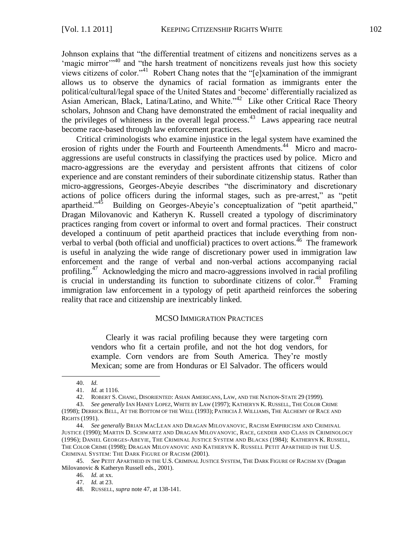Johnson explains that "the differential treatment of citizens and noncitizens serves as a 'magic mirror'<sup> $,40$ </sup> and "the harsh treatment of noncitizens reveals just how this society views citizens of color."<sup>41</sup> Robert Chang notes that the "[e]xamination of the immigrant allows us to observe the dynamics of racial formation as immigrants enter the political/cultural/legal space of the United States and ‗become' differentially racialized as Asian American, Black, Latina/Latino, and White."<sup>42</sup> Like other Critical Race Theory scholars, Johnson and Chang have demonstrated the embedment of racial inequality and the privileges of whiteness in the overall legal process.<sup>43</sup> Laws appearing race neutral become race-based through law enforcement practices.

Critical criminologists who examine injustice in the legal system have examined the erosion of rights under the Fourth and Fourteenth Amendments.<sup>44</sup> Micro and macroaggressions are useful constructs in classifying the practices used by police. Micro and macro-aggressions are the everyday and persistent affronts that citizens of color experience and are constant reminders of their subordinate citizenship status. Rather than micro-aggressions, Georges-Abeyie describes "the discriminatory and discretionary actions of police officers during the informal stages, such as pre-arrest," as "petit apartheid.<sup>45</sup> Building on Georges-Abeyie's conceptualization of "petit apartheid," Dragan Milovanovic and Katheryn K. Russell created a typology of discriminatory practices ranging from covert or informal to overt and formal practices. Their construct developed a continuum of petit apartheid practices that include everything from nonverbal to verbal (both official and unofficial) practices to overt actions.<sup>46</sup> The framework is useful in analyzing the wide range of discretionary power used in immigration law enforcement and the range of verbal and non-verbal actions accompanying racial profiling.<sup>47</sup> Acknowledging the micro and macro-aggressions involved in racial profiling is crucial in understanding its function to subordinate citizens of color.<sup>48</sup> Framing immigration law enforcement in a typology of petit apartheid reinforces the sobering reality that race and citizenship are inextricably linked.

### MCSO IMMIGRATION PRACTICES

Clearly it was racial profiling because they were targeting corn vendors who fit a certain profile, and not the hot dog vendors, for example. Corn vendors are from South America. They're mostly Mexican; some are from Honduras or El Salvador. The officers would

<sup>40.</sup> *Id.*

<sup>41.</sup> *Id.* at 1116.

<sup>42.</sup> ROBERT S. CHANG, DISORIENTED: ASIAN AMERICANS, LAW, AND THE NATION-STATE 29 (1999).

<sup>43.</sup> *See generally* IAN HANEY LOPEZ, WHITE BY LAW (1997); KATHERYN K. RUSSELL, THE COLOR CRIME (1998); DERRICK BELL, AT THE BOTTOM OF THE WELL (1993); PATRICIA J. WILLIAMS, THE ALCHEMY OF RACE AND RIGHTS (1991).

<sup>44.</sup> *See generally* BRIAN MACLEAN AND DRAGAN MILOVANOVIC, RACISM EMPIRICISM AND CRIMINAL JUSTICE (1990); MARTIN D. SCHWARTZ AND DRAGAN MILOVANOVIC, RACE, GENDER AND CLASS IN CRIMINOLOGY (1996); DANIEL GEORGES-ABEYIE, THE CRIMINAL JUSTICE SYSTEM AND BLACKS (1984); KATHERYN K. RUSSELL, THE COLOR CRIME (1998); DRAGAN MILOVANOVIC AND KATHERYN K. RUSSELL PETIT APARTHEID IN THE U.S. CRIMINAL SYSTEM: THE DARK FIGURE OF RACISM (2001).

<sup>45.</sup> *See* PETIT APARTHEID IN THE U.S. CRIMINAL JUSTICE SYSTEM, THE DARK FIGURE OF RACISM XV (Dragan Milovanovic & Katheryn Russell eds., 2001).

<sup>46.</sup> *Id.* at xx.

<sup>47.</sup> *Id.* at 23.

<sup>48.</sup> RUSSELL, *supra* note 47, at 138-141.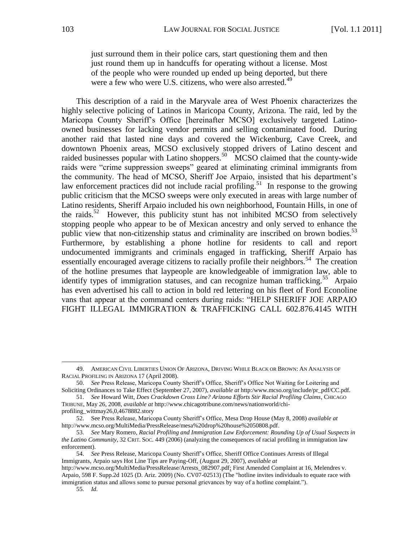just surround them in their police cars, start questioning them and then just round them up in handcuffs for operating without a license. Most of the people who were rounded up ended up being deported, but there were a few who were U.S. citizens, who were also arrested.<sup>49</sup>

This description of a raid in the Maryvale area of West Phoenix characterizes the highly selective policing of Latinos in Maricopa County, Arizona. The raid, led by the Maricopa County Sheriff's Office [hereinafter MCSO] exclusively targeted Latinoowned businesses for lacking vendor permits and selling contaminated food. During another raid that lasted nine days and covered the Wickenburg, Cave Creek, and downtown Phoenix areas, MCSO exclusively stopped drivers of Latino descent and raided businesses popular with Latino shoppers.<sup>50</sup> MCSO claimed that the county-wide raids were "crime suppression sweeps" geared at eliminating criminal immigrants from the community. The head of MCSO, Sheriff Joe Arpaio, insisted that his department's law enforcement practices did not include racial profiling.<sup>51</sup> In response to the growing public criticism that the MCSO sweeps were only executed in areas with large number of Latino residents, Sheriff Arpaio included his own neighborhood, Fountain Hills, in one of the raids.<sup>52</sup> However, this publicity stunt has not inhibited MCSO from selectively stopping people who appear to be of Mexican ancestry and only served to enhance the public view that non-citizenship status and criminality are inscribed on brown bodies.<sup>53</sup> Furthermore, by establishing a phone hotline for residents to call and report undocumented immigrants and criminals engaged in trafficking, Sheriff Arpaio has essentially encouraged average citizens to racially profile their neighbors.<sup>54</sup> The creation of the hotline presumes that laypeople are knowledgeable of immigration law, able to identify types of immigration statuses, and can recognize human trafficking.<sup>55</sup> Arpaio has even advertised his call to action in bold red lettering on his fleet of Ford Econoline vans that appear at the command centers during raids: "HELP SHERIFF JOE ARPAIO FIGHT ILLEGAL IMMIGRATION & TRAFFICKING CALL 602.876.4145 WITH

<sup>49.</sup> AMERICAN CIVIL LIBERTIES UNION OF ARIZONA, DRIVING WHILE BLACK OR BROWN: AN ANALYSIS OF RACIAL PROFILING IN ARIZONA 17 (April 2008).

<sup>50.</sup> *See* Press Release, Maricopa County Sheriff's Office, Sheriff's Office Not Waiting for Loitering and Soliciting Ordinances to Take Effect (September 27, 2007), *available at* http:/www.mcso.org/include/pr\_pdf/CC.pdf.

<sup>51.</sup> *See* Howard Witt, *Does Crackdown Cross Line? Arizona Efforts Stir Racial Profiling Claims*, CHICAGO TRIBUNE, May 26, 2008, *available at* [http://www.chicagotribune.com/news/nationworld/chi](http://www.chicagotribune.com/news/nationworld/chi-)profiling\_wittmay26,0,4678882.story

<sup>52.</sup> See Press Release, Maricopa County Sheriff's Office, Mesa Drop House (May 8, 2008) *available at* http://www.mcso.org/MultiMedia/PressRelease/mesa%20drop%20house%2050808.pdf.

<sup>53.</sup> *See* Mary Romero, *Racial Profiling and Immigration Law Enforcement: Rounding Up of Usual Suspects in the Latino Community*, 32 CRIT. SOC. 449 (2006) (analyzing the consequences of racial profiling in immigration law enforcement).

<sup>54.</sup> *See* Press Release, Maricopa County Sheriff's Office, Sheriff Office Continues Arrests of Illegal Immigrants, Arpaio says Hot Line Tips are Paying-Off, (August 29, 2007), *available at* 

http://www.mcso.org/MultiMedia/PressRelease/Arrests\_082907.pdf; First Amended Complaint at 16, Melendres v. Arpaio, 598 F. Supp.2d 1025 (D. Ariz. 2009) (No. CV07-02513) (The "hotline invites individuals to equate race with immigration status and allows some to pursue personal grievances by way of a hotline complaint.").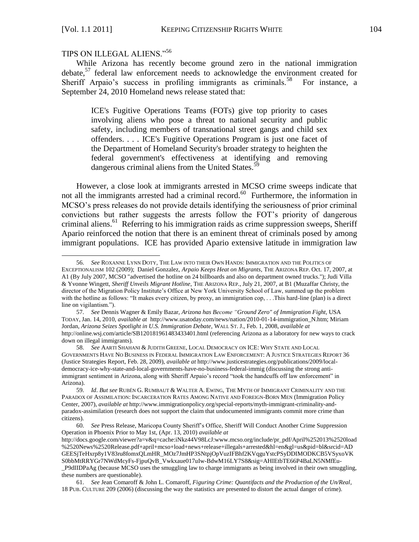l

# TIPS ON ILLEGAL ALIENS."56

While Arizona has recently become ground zero in the national immigration debate, $57$  federal law enforcement needs to acknowledge the environment created for Sheriff Arpaio's success in profiling immigrants as criminals.<sup>58</sup> For instance, a September 24, 2010 Homeland news release stated that:

ICE's Fugitive Operations Teams (FOTs) give top priority to cases involving aliens who pose a threat to national security and public safety, including members of transnational street gangs and child sex offenders. . . . ICE's Fugitive Operations Program is just one facet of the Department of Homeland Security's broader strategy to heighten the federal government's effectiveness at identifying and removing dangerous criminal aliens from the United States.<sup>59</sup>

However, a close look at immigrants arrested in MCSO crime sweeps indicate that not all the immigrants arrested had a criminal record.<sup>60</sup> Furthermore, the information in MCSO's press releases do not provide details identifying the seriousness of prior criminal convictions but rather suggests the arrests follow the FOT's priority of dangerous criminal aliens.<sup>61</sup> Referring to his immigration raids as crime suppression sweeps, Sheriff Apario reinforced the notion that there is an eminent threat of criminals posed by among immigrant populations. ICE has provided Apario extensive latitude in immigration law

<sup>56.</sup> *See* ROXANNE LYNN DOTY, THE LAW INTO THEIR OWN HANDS: IMMIGRATION AND THE POLITICS OF EXCEPTIONALISM 102 (2009); Daniel Gonzalez, *Arpaio Keeps Heat on Migrants,* THE ARIZONA REP. Oct. 17, 2007, at A1 (By July 2007, MCSO "advertised the hotline on 24 billboards and also on department owned trucks."); Judi Villa & Yvonne Wingett, *Sheriff Unveils Migrant Hotline*, THE ARIZONA REP., July 21, 2007, at B1 (Muzaffar Christy, the director of the Migration Policy Institute's Office at New York University School of Law, summed up the problem with the hotline as follows: "It makes every citizen, by proxy, an immigration cop,  $\dots$  This hard-line (plan) is a direct line on vigilantism.").

<sup>57.</sup> *See* Dennis Wagner & Emily Bazar, *Arizona has Become "Ground Zero" of Immigration Fight,* USA TODAY, Jan. 14, 2010, *available at* [http://www.usatoday.com/news/nation/2010-01-14-immigration\\_N.htm;](http://www.usatoday.com/news/nation/2010-01-14-immigration_N.htm) Miriam Jordan, *Arizona Seizes Spotlight in U.S. Immigration Debate*, WALL ST. J., Feb. 1, 2008, *available at*  <http://online.wsj.com/article/SB120181961483433401.html> (referencing Arizona as a laboratory for new ways to crack down on illegal immigrants).

<sup>58.</sup> *See* AARTI SHAHANI & JUDITH GREENE, LOCAL DEMOCRACY ON ICE: WHY STATE AND LOCAL GOVERNMENTS HAVE NO BUSINESS IN FEDERAL IMMIGRATION LAW ENFORCEMENT: A JUSTICE STRATEGIES REPORT 36 (Justice Strategies Report, Feb. 28, 2009), *available at* [http://www.justicestrategies.org/publications/2009/local](http://www.justicestrategies.org/publications/2009/local-democracy-ice-why-state-and-local-governments-have-no-business-federal-immig)[democracy-ice-why-state-and-local-governments-have-no-business-federal-immig](http://www.justicestrategies.org/publications/2009/local-democracy-ice-why-state-and-local-governments-have-no-business-federal-immig) (discussing the strong antiimmigrant sentiment in Arizona, along with Sheriff Arpaio's record "took the handcuffs off law enforcement" in Arizona).

<sup>59.</sup> *Id*. *But see* RUBÉN G. RUMBAUT & WALTER A. EWING, THE MYTH OF IMMIGRANT CRIMINALITY AND THE PARADOX OF ASSIMILATION: INCARCERATION RATES AMONG NATIVE AND FOREIGN-BORN MEN (Immigration Policy Center, 2007), *available at* [http://www.immigrationpolicy.org/special-reports/myth-immigrant-criminality-and](http://www.immigrationpolicy.org/special-reports/myth-immigrant-criminality-and-paradox-assimilation)[paradox-assimilation](http://www.immigrationpolicy.org/special-reports/myth-immigrant-criminality-and-paradox-assimilation) (research does not support the claim that undocumented immigrants commit more crime than citizens).

<sup>60.</sup> *See* Press Release, Maricopa County Sheriff's Office, Sheriff Will Conduct Another Crime Suppression Operation in Phoenix Prior to May 1st, (Apr. 13, 2010) *available at*

http://docs.google.com/viewer?a=v&q=cache:iNkz44V98LcJ:www.mcso.org/include/pr\_pdf/April%252013%2520load %2520News%2520Release.pdf+april+mcso+load+news+release+illegals+arrested&hl=en&gl=us&pid=bl&srcid=AD GEESjTeHxrp8y1V83ru8fomxQLmHR\_MOz7JmHP3SNtpjOpVuzIFBhf2KVqguYstcPSyDDIMODKCB5VSyxoVK S0bbMtRRYGr7NWdMcyFs-FjpuQvB\_Vwkxaue017uIw-BdwM16LY7S8&sig=AHIEtbTE66P4BaLN5NMfEu- \_P9dIIDPaAg (because MCSO uses the smuggling law to charge immigrants as being involved in their own smuggling, these numbers are questionable).

<sup>61.</sup> *See* Jean Comaroff & John L. Comaroff, *Figuring Crime: Quantifacts and the Production of the Un/Real*, 18 PUB. CULTURE 209 (2006) (discussing the way the statistics are presented to distort the actual danger of crime).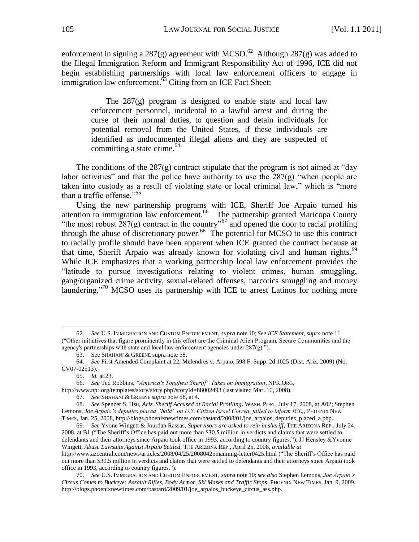enforcement in signing a 287(g) agreement with MCSO.<sup>62</sup> Although 287(g) was added to the Illegal Immigration Reform and Immigrant Responsibility Act of 1996, ICE did not begin establishing partnerships with local law enforcement officers to engage in immigration law enforcement.<sup>63</sup> Citing from an ICE Fact Sheet:

The  $287(g)$  program is designed to enable state and local law enforcement personnel, incidental to a lawful arrest and during the curse of their normal duties, to question and detain individuals for potential removal from the United States, if these individuals are identified as undocumented illegal aliens and they are suspected of committing a state crime.  $64$ 

The conditions of the  $287(g)$  contract stipulate that the program is not aimed at "day" labor activities" and that the police have authority to use the  $287(g)$  "when people are taken into custody as a result of violating state or local criminal law," which is "more than a traffic offense."<sup>65</sup>

Using the new partnership programs with ICE, Sheriff Joe Arpaio turned his attention to immigration law enforcement.<sup>66</sup> The partnership granted Maricopa County "the most robust  $287(g)$  contract in the country"<sup>67</sup> and opened the door to racial profiling through the abuse of discretionary power.<sup>68</sup> The potential for MCSO to use this contract to racially profile should have been apparent when ICE granted the contract because at that time, Sheriff Arpaio was already known for violating civil and human rights.<sup>69</sup> While ICE emphasizes that a working partnership local law enforcement provides the ―latitude to pursue investigations relating to violent crimes, human smuggling, gang/organized crime activity, sexual-related offenses, narcotics smuggling and money laundering, $\frac{1}{2}$ <sup>70</sup> MCSO uses its partnership with ICE to arrest Latinos for nothing more

<sup>62.</sup> *See* U.S. IMMIGRATION AND CUSTOM ENFORCEMENT, *supra* note 10; *See ICE Statement*, *supra* note 11 (―Other initiatives that figure prominently in this effort are the Criminal Alien Program, Secure Communities and the agency's partnerships with state and local law enforcement agencies under  $287(g)$ .").

<sup>63.</sup> See SHAHANI & GREENE supra note 58.

<sup>64.</sup> *See* First Amended Complaint at 22, Melendres v. Arpaio, 598 F. Supp. 2d 1025 (Dist. Ariz. 2009) (No. CV07-02513).

<sup>65.</sup> *Id.* at 23.

<sup>66.</sup> *See* Ted Robbins, *"America's Toughest Sheriff" Takes on Immigration*, NPR.ORG,

http://www.npr.org/templates/story/story.php?storyId=88002493 (last visited Mar. 10, 2008).

<sup>67.</sup> *See* SHAHANI & GREENE *supra* note 58, at 4.

<sup>68.</sup> *See* Spencer S. Hsu, *Ariz. Sheriff Accused of Racial Profiling*. WASH. POST, July 17, 2008, at A02; Stephen Lemons, *Joe Arpaio's deputies placed "hold" on U.S. Citizen Israel Correa, failed to inform ICE,*, PHOENIX NEW TIMES, Jan. 25, 2008, http://blogs.phoenixnewtimes.com/bastard/2008/01/joe\_arpaios\_deputies\_placed\_a.php.

<sup>69.</sup> *See* Yvone Wingett & Jourdan Rassas, *Supervisors are asked to rein in sheriff*, THE ARIZONA REP., July 24, 2008, at B1 ("The Sheriff's Office has paid out more than \$30.5 million in verdicts and claims that were settled to defendants and their attorneys since Arpaio took office in 1993, according to country figures."); JJ Hensley &Yvonne Wingett, *Abuse Lawsuits Against Arpaio Settled,* THE ARIZONA REP., April 25, 2008, *available at* <http://www.azcentral.com/news/articles/2008/04/25/20080425manning-letter0425.html> ("The Sheriff's Office has paid out more than \$30.5 million in verdicts and claims that were settled to defendants and their attorneys since Arpaio took office in 1993, according to country figures.").

<sup>70.</sup> *See* U.S. IMMIGRATION AND CUSTOM ENFORCEMENT, *supra* note 10;*see also* Stephen Lemons, *Joe Arpaio's Circus Comes to Buckeye: Assault Rifles, Body Armor, Ski Masks and Traffic Stops*, PHOENIX NEW TIMES, Jan. 9, 2009, [http://blogs.phoenixnewtimes.com/bastard/2009/01/joe\\_arpaios\\_buckeye\\_circus\\_ass.php.](http://blogs.phoenixnewtimes.com/bastard/2009/01/joe_arpaios_buckeye_circus_ass.php)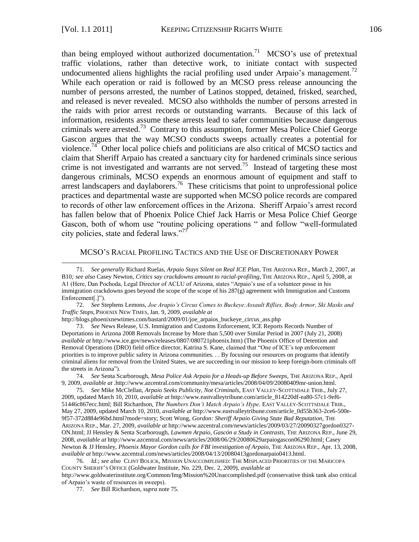$\overline{a}$ 

than being employed without authorized documentation.<sup>71</sup> MCSO's use of pretextual traffic violations, rather than detective work, to initiate contact with suspected undocumented aliens highlights the racial profiling used under Arpaio's management.<sup>72</sup> While each operation or raid is followed by an MCSO press release announcing the number of persons arrested, the number of Latinos stopped, detained, frisked, searched, and released is never revealed. MCSO also withholds the number of persons arrested in the raids with prior arrest records or outstanding warrants. Because of this lack of information, residents assume these arrests lead to safer communities because dangerous criminals were arrested.<sup>73</sup> Contrary to this assumption, former Mesa Police Chief George Gascon argues that the way MCSO conducts sweeps actually creates a potential for violence.<sup>74</sup> Other local police chiefs and politicians are also critical of MCSO tactics and claim that Sheriff Arpaio has created a sanctuary city for hardened criminals since serious crime is not investigated and warrants are not served.<sup>75</sup> Instead of targeting these most dangerous criminals, MCSO expends an enormous amount of equipment and staff to arrest landscapers and daylaborers.<sup>76</sup> These criticisms that point to unprofessional police practices and departmental waste are supported when MCSO police records are compared to records of other law enforcement offices in the Arizona. Sheriff Arpaio's arrest record has fallen below that of Phoenix Police Chief Jack Harris or Mesa Police Chief George Gascon, both of whom use "routine policing operations " and follow "well-formulated city policies, state and federal laws. $\frac{77}{77}$ 

### MCSO'S RACIAL PROFILING TACTICS AND THE USE OF DISCRETIONARY POWER

72. *See* Stephens Lemons, *Joe Arapio's Circus Comes to Buckeye:Assault Riflies, Body Armor, Ski Masks and Traffic Stops*, PHOENIX NEW TIMES, Jan. 9, 2009, *available at* 

73. *See* News Release, U.S. Immigration and Customs Enforcement, ICE Reports Records Number of Deportations in Arizona 2008 Removals Increase by More than 5,500 over Similar Period in 2007 (July 21, 2008) *available at* http://www.ice.gov/news/releases/0807/080721phoenix.htm) (The Phoenix Office of Detention and Removal Operations (DRO) field office director, Katrina S. Kane, claimed that "One of ICE's top enforcement priorities is to improve public safety in Arizona communities. . . By focusing our resources on programs that identify criminal aliens for removal from the United States, we are succeeding in our mission to keep foreign-born criminals off the streets in Arizona").

74. *See* Senta Scarborough, *Mesa Police Ask Arpaio for a Heads-up Before Sweeps*, THE ARIZONA REP., April 9, 2009*, available at* .http://www.azcentral.com/community/mesa/articles/2008/04/09/20080409mr-union.html.

75. *See* Mike McClellan, *Arpaio Seeks Publicity, Not Criminals,* EAST VALLEY-SCOTTSDALE TRIB., July 27, 2009, updated March 10, 2010, *available at* http://www.eastvalleytribune.com/article\_814220df-ea80-57c1-9ef6- 51446c867ecc.html; Bill Richardson, *The Numbers Don't Match Arpaio's Hype*. EAST VALLEY-SCOTTSDALE TRIB., May 27, 2009, updated March 10, 2010, *available at* http://www.eastvalleytribune.com/article\_0d55b363-2ce6-500e-9f57-372d884e96bd.html?mode=story; Scott Wong, *Gordon: Sheriff Arpaio Giving State Bad Reputation,* THE ARIZONA REP., Mar. 27, 2009, *available at* [http://www.azcentral.com/news/articles/2009/03/27/20090327gordon0327-](http://www.azcentral.com/news/articles/2009/03/27/20090327gordon0327-ON.html) [ON.html;](http://www.azcentral.com/news/articles/2009/03/27/20090327gordon0327-ON.html) JJ Hensley & Senta Scarborough, *Lawmen Arpaio, Gascón a Study in Contrasts,* THE ARIZONA REP., June 29, 2008, *available at* [http://www.azcentral.com/news/articles/2008/06/29/20080629arpaiogascon06290.html;](http://www.azcentral.com/news/articles/2008/06/29/20080629arpaiogascon06290.html) Casey Newton & JJ Hensley, *Phoenix Mayor Gordon calls for FBI investigation of Arpaio,* THE ARIZONA REP., Apr. 13, 2008, *available at* [http://www.azcentral.com/news/articles/2008/04/13/20080413gordonarpaio0413.html.](http://www.azcentral.com/news/articles/2008/04/13/20080413gordonarpaio0413.html)

76. *Id.*; *see also* CLINT BOLICK, MISSION UNACCOMPLISHED: THE MISPLACED PRIORITIES OF THE MARICOPA COUNTY SHERIFF'S OFFICE (Goldwater Institute, No. 229, Dec. 2, 2009), *available at* 

<http://www.goldwaterinstitute.org/Common/Img/Mission%20Unaccomplished.pdf> (conservative think tank also critical of Arpaio's waste of resources in sweeps).

77. *See* Bill Richardson, *supra* note 75.

<sup>71.</sup> *See generally* Richard Ruelas, *Arpaio Stays Silent on Real ICE Plan*, THE ARIZONA REP., March 2, 2007, at B10*; see also* Casey Newton, *Critics say crackdowns amount to racial-profiling*, THE ARIZONA REP., April 5, 2008, at A1 (Here, Dan Pochoda, Legal Director of ACLU of Arizona, states "Arpaio's use of a volunteer posse in his immigration crackdowns goes beyond the scope of the scope of his 287(g) agreement with Immigration and Customs Enforcement[.]").

http://blogs.phoenixnewtimes.com/bastard/2009/01/joe\_arpaios\_buckeye\_circus\_ass.php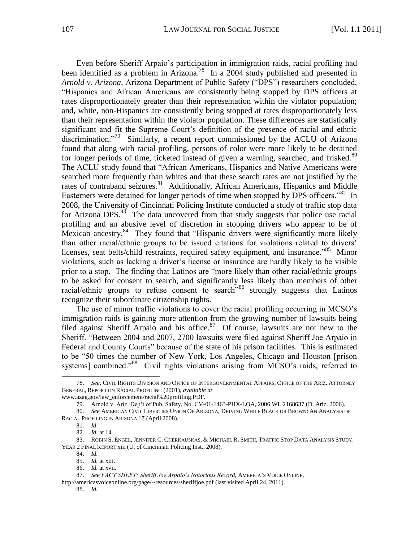Even before Sheriff Arpaio's participation in immigration raids, racial profiling had been identified as a problem in Arizona.<sup>78</sup> In a 2004 study published and presented in *Arnold v. Arizona, Arizona Department of Public Safety ("DPS")* researchers concluded, ―Hispanics and African Americans are consistently being stopped by DPS officers at rates disproportionately greater than their representation within the violator population; and, white, non-Hispanics are consistently being stopped at rates disproportionately less than their representation within the violator population. These differences are statistically significant and fit the Supreme Court's definition of the presence of racial and ethnic discrimination."<sup>79</sup> Similarly, a recent report commissioned by the ACLU of Arizona found that along with racial profiling, persons of color were more likely to be detained for longer periods of time, ticketed instead of given a warning, searched, and frisked.<sup>80</sup> The ACLU study found that "African Americans, Hispanics and Native Americans were searched more frequently than whites and that these search rates are not justified by the rates of contraband seizures.<sup>81</sup> Additionally, African Americans, Hispanics and Middle Easterners were detained for longer periods of time when stopped by DPS officers." $82$  In 2008, the University of Cincinnati Policing Institute conducted a study of traffic stop data for Arizona DPS. $83^{\circ}$  The data uncovered from that study suggests that police use racial profiling and an abusive level of discretion in stopping drivers who appear to be of Mexican ancestry.<sup>84</sup> They found that "Hispanic drivers were significantly more likely than other racial/ethnic groups to be issued citations for violations related to drivers' licenses, seat belts/child restraints, required safety equipment, and insurance.<sup>85</sup> Minor violations, such as lacking a driver's license or insurance are hardly likely to be visible prior to a stop. The finding that Latinos are "more likely than other racial/ethnic groups to be asked for consent to search, and significantly less likely than members of other racial/ethnic groups to refuse consent to search<sup>36</sup> strongly suggests that Latinos recognize their subordinate citizenship rights.

The use of minor traffic violations to cover the racial profiling occurring in MCSO's immigration raids is gaining more attention from the growing number of lawsuits being filed against Sheriff Arpaio and his office.<sup>87</sup> Of course, lawsuits are not new to the Sheriff. "Between 2004 and 2007, 2700 lawsuits were filed against Sheriff Joe Arpaio in Federal and County Courts" because of the state of his prison facilities. This is estimated to be "50 times the number of New York, Los Angeles, Chicago and Houston [prison] systems] combined."<sup>88</sup> Civil rights violations arising from MCSO's raids, referred to

<sup>78.</sup> *See*, CIVIL RIGHTS DIVISION AND OFFICE OF INTERGOVERNMENTAL AFFAIRS, OFFICE OF THE ARIZ. ATTORNEY GENERAL, REPORT ON RACIAL PROFILING (2001), *available at*

www.azag.gov/law\_enforcement/racial%20profiling.PDF.

<sup>79.</sup> Arnold v. Ariz. Dep't of Pub. Safety, No. CV-01-1463-PHX-LOA, 2006 WL 2168637 (D. Ariz. 2006).

<sup>80.</sup> *See* AMERICAN CIVIL LIBERTIES UNION OF ARIZONA, DRIVING WHILE BLACK OR BROWN: AN ANALYSIS OF RACIAL PROFILING IN ARIZONA 17 (April 2008).

<sup>81.</sup> *Id*.

<sup>82.</sup> *Id.* at 14.

<sup>83.</sup> ROBIN S. ENGEL, JENNIFER C. CHERKAUSKAS, & MICHAEL R. SMITH, TRAFFIC STOP DATA ANALYSIS STUDY: YEAR 2 FINAL REPORT xiii (U. of Cincinnati Policing Inst., 2008).

<sup>84.</sup> *Id.*

<sup>85.</sup> *Id.* at xiii.

<sup>86.</sup> *Id.* at xvii.

<sup>87.</sup> *See FACT SHEET: Sheriff Joe Arpaio's Notorious Record,* AMERICA'S VOICE ONLINE*,* 

<http://americasvoiceonline.org/page/-/resources/sheriffjoe.pdf> (last visited April 24, 2011).

<sup>88.</sup> *Id.*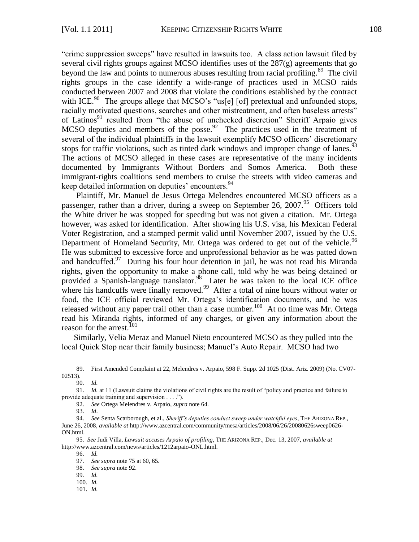"crime suppression sweeps" have resulted in lawsuits too. A class action lawsuit filed by several civil rights groups against MCSO identifies uses of the  $287(g)$  agreements that go beyond the law and points to numerous abuses resulting from racial profiling.<sup>89</sup> The civil rights groups in the case identify a wide-range of practices used in MCSO raids conducted between 2007 and 2008 that violate the conditions established by the contract with ICE.<sup>90</sup> The groups allege that MCSO's "us[e] [of] pretextual and unfounded stops, racially motivated questions, searches and other mistreatment, and often baseless arrests" of Latinos<sup>91</sup> resulted from "the abuse of unchecked discretion" Sheriff Arpaio gives MCSO deputies and members of the posse.<sup>92</sup> The practices used in the treatment of several of the individual plaintiffs in the lawsuit exemplify MCSO officers' discretionary stops for traffic violations, such as tinted dark windows and improper change of lanes.  $^{93}$ The actions of MCSO alleged in these cases are representative of the many incidents documented by Immigrants Without Borders and Somos America. Both these immigrant-rights coalitions send members to cruise the streets with video cameras and keep detailed information on deputies' encounters.<sup>94</sup>

Plaintiff, Mr. Manuel de Jesus Ortega Melendres encountered MCSO officers as a passenger, rather than a driver, during a sweep on September 26, 2007.<sup>95</sup> Officers told the White driver he was stopped for speeding but was not given a citation. Mr. Ortega however, was asked for identification. After showing his U.S. visa, his Mexican Federal Voter Registration, and a stamped permit valid until November 2007, issued by the U.S. Department of Homeland Security, Mr. Ortega was ordered to get out of the vehicle.<sup>96</sup> He was submitted to excessive force and unprofessional behavior as he was patted down and handcuffed.<sup>97</sup> During his four hour detention in jail, he was not read his Miranda rights, given the opportunity to make a phone call, told why he was being detained or provided a Spanish-language translator.<sup>98</sup> Later he was taken to the local ICE office where his handcuffs were finally removed.<sup>99</sup> After a total of nine hours without water or food, the ICE official reviewed Mr. Ortega's identification documents, and he was released without any paper trail other than a case number.<sup>100</sup> At no time was Mr. Ortega read his Miranda rights, informed of any charges, or given any information about the reason for the arrest.<sup>101</sup>

Similarly, Velia Meraz and Manuel Nieto encountered MCSO as they pulled into the local Quick Stop near their family business; Manuel's Auto Repair. MCSO had two

<sup>89.</sup> First Amended Complaint at 22, Melendres v. Arpaio, 598 F. Supp. 2d 1025 (Dist. Ariz. 2009) (No. CV07- 02513).

<sup>90.</sup> *Id.*

<sup>91.</sup> *Id.* at 11 (Lawsuit claims the violations of civil rights are the result of "policy and practice and failure to provide adequate training and supervision . . . .").

<sup>92.</sup> *See* Ortega Melendres v. Arpaio, *supra* note 64.

<sup>93.</sup> *Id*.

<sup>94.</sup> *See* Senta Scarborough, et al., *Sheriff's deputies conduct sweep under watchful eyes*, THE ARIZONA REP., June 26, 2008, *available at* http://www.azcentral.com/community/mesa/articles/2008/06/26/20080626sweep0626- ON.html.

<sup>95.</sup> *See* Judi Villa, *Lawsuit accuses Arpaio of profiling*, THE ARIZONA REP., Dec. 13, 2007, *available at* [http://www.azcentral.com/news/articles/1212arpaio-ONL.html.](http://www.azcentral.com/news/articles/1212arpaio-ONL.html)

<sup>96.</sup> *Id.*

<sup>97.</sup> *See supra* note 75 at 60, 65.

<sup>98.</sup> *See supra* note 92.

<sup>99.</sup> *Id.*

<sup>100</sup>*. Id.* 

<sup>101.</sup> *Id.*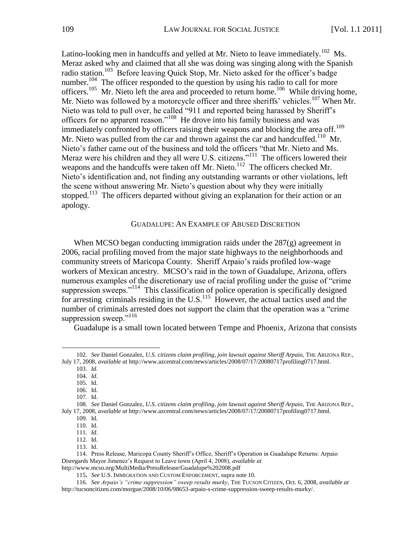Latino-looking men in handcuffs and yelled at Mr. Nieto to leave immediately.<sup>102</sup> Ms. Meraz asked why and claimed that all she was doing was singing along with the Spanish radio station.<sup>103</sup> Before leaving Quick Stop, Mr. Nieto asked for the officer's badge number.<sup>104</sup> The officer responded to the question by using his radio to call for more officers.<sup>105</sup> Mr. Nieto left the area and proceeded to return home.<sup>106</sup> While driving home, Mr. Nieto was followed by a motorcycle officer and three sheriffs' vehicles.<sup>107</sup> When Mr. Nieto was told to pull over, he called "911 and reported being harassed by Sheriff's officers for no apparent reason."<sup>108</sup> He drove into his family business and was immediately confronted by officers raising their weapons and blocking the area off.<sup>109</sup> Mr. Nieto was pulled from the car and thrown against the car and handcuffed.<sup>110</sup> Mr. Nieto's father came out of the business and told the officers "that Mr. Nieto and Ms. Meraz were his children and they all were U.S. citizens.<sup> $111$ </sup> The officers lowered their weapons and the handcuffs were taken off Mr. Nieto.<sup>112</sup> The officers checked Mr. Nieto's identification and, not finding any outstanding warrants or other violations, left the scene without answering Mr. Nieto's question about why they were initially stopped.<sup>113</sup> The officers departed without giving an explanation for their action or an apology.

#### GUADALUPE: AN EXAMPLE OF ABUSED DISCRETION

When MCSO began conducting immigration raids under the  $287(g)$  agreement in 2006, racial profiling moved from the major state highways to the neighborhoods and community streets of Maricopa County. Sheriff Arpaio's raids profiled low-wage workers of Mexican ancestry. MCSO's raid in the town of Guadalupe, Arizona, offers numerous examples of the discretionary use of racial profiling under the guise of "crime" suppression sweeps."<sup>114</sup> This classification of police operation is specifically designed for arresting criminals residing in the  $U.S.<sup>115</sup>$  However, the actual tactics used and the number of criminals arrested does not support the claim that the operation was a "crime" suppression sweep."116

Guadalupe is a small town located between Tempe and Phoenix, Arizona that consists

103. *Id.*

<sup>102.</sup> *See* Daniel Gonzalez, *U.S. citizens claim profiling, join lawsuit against Sheriff Arpaio,* THE ARIZONA REP., July 17, 2008, *available at* [http://www.azcentral.com/news/articles/2008/07/17/20080717profiling0717.html.](http://www.azcentral.com/news/articles/2008/07/17/20080717profiling0717.html)

<sup>104.</sup> *Id.* 105. Id.

<sup>106.</sup> Id.

<sup>107.</sup> Id.

<sup>108.</sup> *See* Daniel Gonzalez, *U.S. citizens claim profiling, join lawsuit against Sheriff Arpaio,* THE ARIZONA REP., July 17, 2008, *available at* [http://www.azcentral.com/news/articles/2008/07/17/20080717profiling0717.html.](http://www.azcentral.com/news/articles/2008/07/17/20080717profiling0717.html)

<sup>109.</sup> Id.

<sup>110.</sup> Id.

<sup>111.</sup> *Id*. 112. Id.

<sup>113.</sup> Id.

<sup>114.</sup> Press Release, Maricopa County Sheriff's Office, Sheriff's Operation in Guadalupe Returns: Arpaio Disregards Mayor Jimenez's Request to Leave town (April 4, 2008), *available at*  http://www.mcso.org/MultiMedia/PressRelease/Guadalupe%202008.pdf

<sup>115</sup>**.** *See* U.S. IMMIGRATION AND CUSTOM ENFORCEMENT, supra note 10.

<sup>116.</sup> *See Arpaio's "crime suppression" sweep results murky*, THE TUCSON CITIZEN, Oct. 6, 2008, *available at*  [http://tucsoncitizen.com/morgue/2008/10/06/98653-arpaio-s-crime-suppression-sweep-results-murky/.](http://tucsoncitizen.com/morgue/2008/10/06/98653-arpaio-s-crime-suppression-sweep-results-%0dmurky/)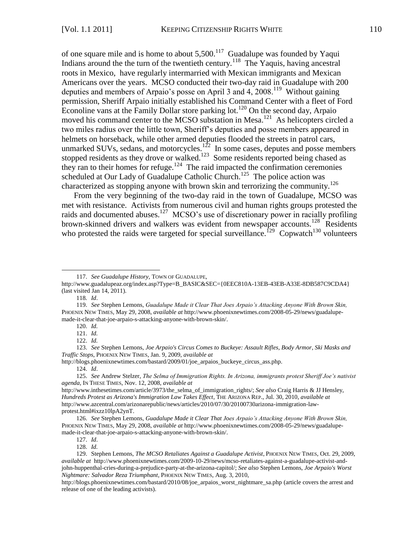of one square mile and is home to about  $5,500$ .<sup>117</sup> Guadalupe was founded by Yaqui Indians around the the turn of the twentieth century.<sup>118</sup> The Yaquis, having ancestral roots in Mexico, have regularly intermarried with Mexican immigrants and Mexican Americans over the years. MCSO conducted their two-day raid in Guadalupe with 200 deputies and members of Arpaio's posse on April 3 and 4, 2008.<sup>119</sup> Without gaining permission, Sheriff Arpaio initially established his Command Center with a fleet of Ford Econoline vans at the Family Dollar store parking lot.<sup>120</sup> On the second day, Arpaio moved his command center to the MCSO substation in Mesa.<sup>121</sup> As helicopters circled a two miles radius over the little town, Sheriff's deputies and posse members appeared in helmets on horseback, while other armed deputies flooded the streets in patrol cars, unmarked SUVs, sedans, and motorcycles.<sup>122</sup> In some cases, deputes and posse members stopped residents as they drove or walked.<sup>123</sup> Some residents reported being chased as they ran to their homes for refuge.<sup>124</sup> The raid impacted the confirmation ceremonies scheduled at Our Lady of Guadalupe Catholic Church.<sup>125</sup> The police action was characterized as stopping anyone with brown skin and terrorizing the community.<sup>126</sup>

From the very beginning of the two-day raid in the town of Guadalupe, MCSO was met with resistance. Activists from numerous civil and human rights groups protested the raids and documented abuses.<sup>127</sup> MCSO's use of discretionary power in racially profiling brown-skinned drivers and walkers was evident from newspaper accounts.<sup>128</sup> Residents who protested the raids were targeted for special surveillance.<sup>129</sup> Copwatch<sup>130</sup> volunteers

 $\overline{a}$ 

http://blogs.phoenixnewtimes.com/bastard/2009/01/joe\_arpaios\_buckeye\_circus\_ass.php.

124. *Id*.

<sup>117.</sup> *See Guadalupe History,* TOWN OF GUADALUPE,

[http://www.guadalupeaz.org/index.asp?Type=B\\_BASIC&SEC={0EEC810A-13EB-43EB-A33E-8DB587C9CDA4}](http://www.guadalupeaz.org/index.asp?Type=B_BASIC&SEC=%7b0EEC810A-13EB-43EB-A33E-8DB587C9CDA4%7d) (last visited Jan 14, 2011).

<sup>118</sup>*. Id*.

<sup>119.</sup> *See* Stephen Lemons, *Guadalupe Made it Clear That Joes Arpaio's Attacking Anyone With Brown Skin,* PHOENIX NEW TIMES, May 29, 2008, *available at* [http://www.phoenixnewtimes.com/2008-05-29/news/guadalupe](http://www.phoenixnewtimes.com/2008-05-29/news/guadalupe-made-it-%0dclear-that-joe-arpaio-s-attacking-anyone-with-brown-skin/)[made-it-clear-that-joe-arpaio-s-attacking-anyone-with-brown-skin/.](http://www.phoenixnewtimes.com/2008-05-29/news/guadalupe-made-it-%0dclear-that-joe-arpaio-s-attacking-anyone-with-brown-skin/)

<sup>120.</sup> *Id.*

<sup>121.</sup> *Id.*

<sup>122.</sup> *Id.*

<sup>123.</sup> *See* Stephen Lemons, *Joe Arpaio's Circus Comes to Buckeye: Assault Rifles, Body Armor, Ski Masks and Traffic Stops*, PHOENIX NEW TIMES, Jan. 9, 2009, *available at*

<sup>125.</sup> *See* Andrew Stelzer, *The Selma of Immigration Rights. In Arizona, immigrants protest Sheriff Joe's nativist agenda*, IN THESE TIMES, Nov. 12, 2008, *available at*

[http://www.inthesetimes.com/article/3973/the\\_selma\\_of\\_immigration\\_rights/;](http://www.inthesetimes.com/article/3973/the_selma_of_immigration_rights/) *See also* Craig Harris & JJ Hensley, *Hundreds Protest as Arizona's Immigration Law Takes Effect*, THE ARIZONA REP., Jul. 30, 2010, *available at*  [http://www.azcentral.com/arizonarepublic/news/articles/2010/07/30/20100730arizona-immigration-law](http://www.azcentral.com/arizonarepublic/news/articles/2010/07/30/20100730arizona-immigration-law-protest.html#ixzz10lpA2ynT)[protest.html#ixzz10lpA2ynT.](http://www.azcentral.com/arizonarepublic/news/articles/2010/07/30/20100730arizona-immigration-law-protest.html#ixzz10lpA2ynT)

<sup>126.</sup> *See* Stephen Lemons, *Guadalupe Made it Clear That Joes Arpaio's Attacking Anyone With Brown Skin,* PHOENIX NEW TIMES, May 29, 2008, *available at* [http://www.phoenixnewtimes.com/2008-05-29/news/guadalupe](http://www.phoenixnewtimes.com/2008-05-29/news/guadalupe-made-it-%0dclear-that-joe-arpaio-s-attacking-anyone-with-brown-skin/)[made-it-clear-that-joe-arpaio-s-attacking-anyone-with-brown-skin/.](http://www.phoenixnewtimes.com/2008-05-29/news/guadalupe-made-it-%0dclear-that-joe-arpaio-s-attacking-anyone-with-brown-skin/)

<sup>127.</sup> *Id*.

<sup>128.</sup> *Id.*

<sup>129.</sup> Stephen Lemons, *The MCSO Retaliates Against a Guadalupe Activist*, PHOENIX NEW TIMES, Oct. 29, 2009, *available at* [http://www.phoenixnewtimes.com/2009-10-29/news/mcso-retaliates-against-a-guadalupe-activist-and](http://www.phoenixnewtimes.com/2009-10-29/news/mcso-retaliates-against-a-guadalupe-activist-and-%20john-huppenthal-cries-during-a-prejudice-party-at-the-arizona-capitol/)[john-huppenthal-cries-during-a-prejudice-party-at-the-arizona-capitol/;](http://www.phoenixnewtimes.com/2009-10-29/news/mcso-retaliates-against-a-guadalupe-activist-and-%20john-huppenthal-cries-during-a-prejudice-party-at-the-arizona-capitol/) *See also* Stephen Lemons, *Joe Arpaio's Worst Nightmare: Salvador Reza Triumphant*, PHOENIX NEW TIMES, Aug. 3, 2010,

[http://blogs.phoenixnewtimes.com/bastard/2010/08/joe\\_arpaios\\_worst\\_nightmare\\_sa.php](http://blogs.phoenixnewtimes.com/bastard/2010/08/joe_arpaios_worst_nightmare_sa.php) (article covers the arrest and release of one of the leading activists).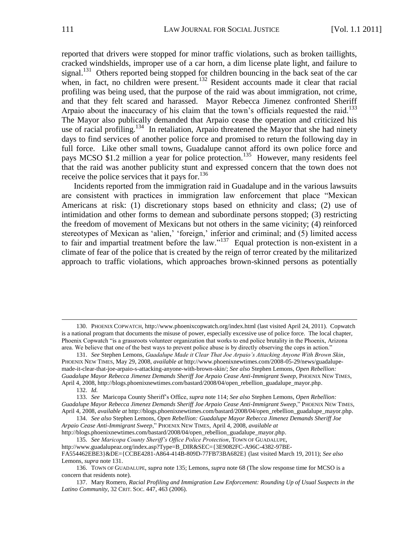reported that drivers were stopped for minor traffic violations, such as broken taillights, cracked windshields, improper use of a car horn, a dim license plate light, and failure to signal.<sup>131</sup> Others reported being stopped for children bouncing in the back seat of the car when, in fact, no children were present.<sup>132</sup> Resident accounts made it clear that racial profiling was being used, that the purpose of the raid was about immigration, not crime, and that they felt scared and harassed. Mayor Rebecca Jimenez confronted Sheriff Arpaio about the inaccuracy of his claim that the town's officials requested the raid.<sup>133</sup> The Mayor also publically demanded that Arpaio cease the operation and criticized his use of racial profiling.<sup>134</sup> In retaliation, Arpaio threatened the Mayor that she had ninety days to find services of another police force and promised to return the following day in full force. Like other small towns, Guadalupe cannot afford its own police force and pays MCSO \$1.2 million a year for police protection.<sup>135</sup> However, many residents feel that the raid was another publicity stunt and expressed concern that the town does not receive the police services that it pays for.  $136$ 

Incidents reported from the immigration raid in Guadalupe and in the various lawsuits are consistent with practices in immigration law enforcement that place "Mexican Americans at risk: (1) discretionary stops based on ethnicity and class; (2) use of intimidation and other forms to demean and subordinate persons stopped; (3) restricting the freedom of movement of Mexicans but not others in the same vicinity; (4) reinforced stereotypes of Mexican as 'alien,' 'foreign,' inferior and criminal; and (5) limited access to fair and impartial treatment before the  $law.^{137}$  Equal protection is non-existent in a climate of fear of the police that is created by the reign of terror created by the militarized approach to traffic violations, which approaches brown-skinned persons as potentially

 $\overline{a}$ 

[http://blogs.phoenixnewtimes.com/bastard/2008/04/open\\_rebellion\\_guadalupe\\_mayor.php.](http://blogs.phoenixnewtimes.com/bastard/2008/04/open_rebellion_guadalupe_mayor.php) 135*. See Maricopa County Sheriff's Office Police Protection*, TOWN OF GUADALUPE,

http://www.guadalupeaz.org/index.asp?Type=B\_DIR&SEC={3E9082FC-A96C-4382-97BE-

<sup>130.</sup> PHOENIX COPWATCH,<http://www.phoenixcopwatch.org/index.html> (last visited April 24, 2011). Copwatch is a national program that documents the misuse of power, especially excessive use of police force. The local chapter, Phoenix Copwatch "is a grassroots volunteer organization that works to end police brutality in the Phoenix, Arizona area. We believe that one of the best ways to prevent police abuse is by directly observing the cops in action."

<sup>131.</sup> *See* Stephen Lemons, *Guadalupe Made it Clear That Joe Arpaio's Attacking Anyone With Brown Skin*, PHOENIX NEW TIMES, May 29, 2008, *available at* [http://www.phoenixnewtimes.com/2008-05-29/news/guadalupe](http://www.phoenixnewtimes.com/2008-05-29/news/guadalupe-made-it-%0dclear-that-joe-arpaio-s-attacking-anyone-with-brown-skin/)[made-it-clear-that-joe-arpaio-s-attacking-anyone-with-brown-skin/;](http://www.phoenixnewtimes.com/2008-05-29/news/guadalupe-made-it-%0dclear-that-joe-arpaio-s-attacking-anyone-with-brown-skin/) *See also* Stephen Lemons, *Open Rebellion: Guadalupe Mayor Rebecca Jimenez Demands Sheriff Joe Arpaio Cease Anti-Immigrant Sweep*, PHOENIX NEW TIMES, April 4, 2008[, http://blogs.phoenixnewtimes.com/bastard/2008/04/open\\_rebellion\\_guadalupe\\_mayor.php.](http://blogs.phoenixnewtimes.com/bastard/2008/04/open_rebellion_guadalupe_mayor.php)

<sup>132.</sup> *Id.*

<sup>133.</sup> *See* Maricopa County Sheriff's Office, *supra* note 114; *See also* Stephen Lemons, *Open Rebellion:*  Guadalupe Mayor Rebecca Jimenez Demands Sheriff Joe Arpaio Cease Anti-Immigrant Sweep," PHOENIX NEW TIMES, April 4, 2008, *available at* http://blogs.phoenixnewtimes.com/bastard/2008/04/open\_rebellion\_guadalupe\_mayor.php.

<sup>134.</sup> *See also* Stephen Lemons, *Open Rebellion: Guadalupe Mayor Rebecca Jimenez Demands Sheriff Joe Arpaio Cease Anti-Immigrant Sweep*,‖ PHOENIX NEW TIMES, April 4, 2008, *available at* 

FA554462EBE3}&DE={CCBE4281-A864-414B-809D-77FB73BA682E} (last visited March 19, 2011); *See also* Lemons, *supra* note 131.

<sup>136.</sup> TOWN OF GUADALUPE, *supra* note 135; Lemons, *supra* note 68 (The slow response time for MCSO is a concern that residents note).

<sup>137.</sup> Mary Romero, *Racial Profiling and Immigration Law Enforcement: Rounding Up of Usual Suspects in the Latino Community*, 32 CRIT. SOC. 447, 463 (2006).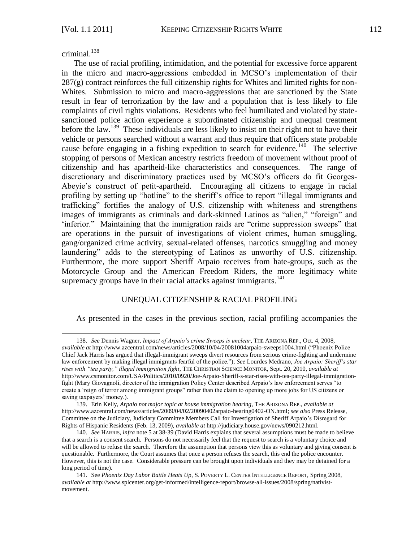criminal. $138$ 

 $\overline{a}$ 

The use of racial profiling, intimidation, and the potential for excessive force apparent in the micro and macro-aggressions embedded in MCSO's implementation of their  $287(g)$  contract reinforces the full citizenship rights for Whites and limited rights for non-Whites. Submission to micro and macro-aggressions that are sanctioned by the State result in fear of terrorization by the law and a population that is less likely to file complaints of civil rights violations. Residents who feel humiliated and violated by statesanctioned police action experience a subordinated citizenship and unequal treatment before the law.<sup>139</sup> These individuals are less likely to insist on their right not to have their vehicle or persons searched without a warrant and thus require that officers state probable cause before engaging in a fishing expedition to search for evidence.<sup>140</sup> The selective stopping of persons of Mexican ancestry restricts freedom of movement without proof of citizenship and has apartheid-like characteristics and consequences. The range of discretionary and discriminatory practices used by MCSO's officers do fit Georges-Abeyie's construct of petit-apartheid. Encouraging all citizens to engage in racial profiling by setting up "hotline" to the sheriff's office to report "illegal immigrants and trafficking" fortifies the analogy of U.S. citizenship with whiteness and strengthens images of immigrants as criminals and dark-skinned Latinos as "alien," "foreign" and 'inferior." Maintaining that the immigration raids are "crime suppression sweeps" that are operations in the pursuit of investigations of violent crimes, human smuggling, gang/organized crime activity, sexual-related offenses, narcotics smuggling and money laundering" adds to the stereotyping of Latinos as unworthy of U.S. citizenship. Furthermore, the more support Sheriff Arpaio receives from hate-groups, such as the Motorcycle Group and the American Freedom Riders, the more legitimacy white supremacy groups have in their racial attacks against immigrants.<sup>141</sup>

# UNEQUAL CITIZENSHIP & RACIAL PROFILING

As presented in the cases in the previous section, racial profiling accompanies the

<sup>138.</sup> *See* Dennis Wagner, *Impact of Arpaio's crime Sweeps is unclear*, THE ARIZONA REP., Oct. 4, 2008, *available at* <http://www.azcentral.com/news/articles/2008/10/04/20081004arpaio-sweeps1004.html> (―Phoenix Police Chief Jack Harris has argued that illegal-immigrant sweeps divert resources from serious crime-fighting and undermine law enforcement by making illegal immigrants fearful of the police.‖); *See* Lourdes Medrano, *Joe Arpaio: Sheriff's star rises with "tea party," illegal immigration fight*, THE CHRISTIAN SCIENCE MONITOR, Sept. 20, 2010, *available at*  [http://www.csmonitor.com/USA/Politics/2010/0920/Joe-Arpaio-Sheriff-s-star-rises-with-tea-party-illegal-immigration](http://www.csmonitor.com/USA/Politics/2010/0920/Joe-Arpaio-Sheriff-s-star-rises-with-tea-party-illegal-immigration-fight)[fight](http://www.csmonitor.com/USA/Politics/2010/0920/Joe-Arpaio-Sheriff-s-star-rises-with-tea-party-illegal-immigration-fight) (Mary Giovagnoli, director of the immigration Policy Center described Arpaio's law enforcement serves "to create a 'reign of terror among immigrant groups' rather than the claim to opening up more jobs for US citizens or saving taxpayers' money.).

<sup>139.</sup> Erin Kelly, *Arpaio not major topic at house immigration hearing,* THE ARIZONA REP., *available at*  [http://www.azcentral.com/news/articles/2009/04/02/20090402arpaio-hearing0402-ON.html;](http://www.azcentral.com/news/articles/2009/04/02/20090402arpaio-hearing0402-ON.html) *see also* Press Release, Committee on the Judiciary, Judiciary Committee Members Call for Investigation of Sheriff Arpaio's Disregard for Rights of Hispanic Residents (Feb. 13, 2009), *available at* http://judiciary.house.gov/news/090212.html.

<sup>140.</sup> *See* HARRIS*, infra* note 5 at 38-39 (David Harris explains that several assumptions must be made to believe that a search is a consent search. Persons do not necessarily feel that the request to search is a voluntary choice and will be allowed to refuse the search. Therefore the assumption that persons view this as voluntary and giving consent is questionable. Furthermore, the Court assumes that once a person refuses the search, this end the police encounter. However, this is not the case. Considerable pressure can be brought upon individuals and they may be detained for a long period of time).

<sup>141.</sup> See *Phoenix Day Labor Battle Heats Up*, S. POVERTY L. CENTER INTELLIGENCE REPORT, Spring 2008, *available at* [http://www.splcenter.org/get-informed/intelligence-report/browse-all-issues/2008/spring/nativist](http://www.splcenter.org/get-informed/intelligence-report/browse-all-issues/2008/spring/nativist-movement)[movement.](http://www.splcenter.org/get-informed/intelligence-report/browse-all-issues/2008/spring/nativist-movement)